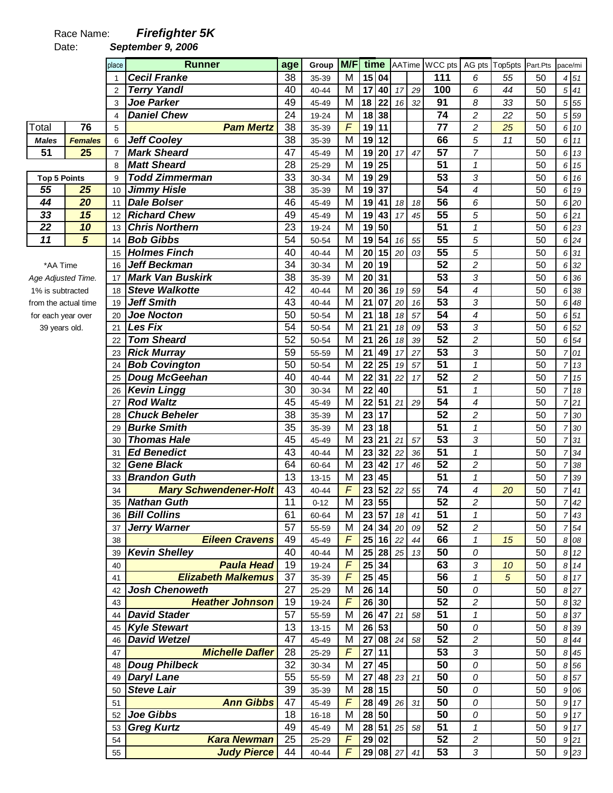## Race Name: **Firefighter 5K**

Date: **September 9, 2006** 

|                      |                         |                | <b>Runner</b>                           |     |          | M/F                     |                       |                    |              |    | time AATime WCC pts |                          |                |          |         |                  |
|----------------------|-------------------------|----------------|-----------------------------------------|-----|----------|-------------------------|-----------------------|--------------------|--------------|----|---------------------|--------------------------|----------------|----------|---------|------------------|
|                      |                         | place          |                                         | age | Group    |                         |                       |                    |              |    |                     |                          | AG pts Top5pts | Part.Pts | pace/mi |                  |
|                      |                         |                | <b>Cecil Franke</b>                     | 38  | 35-39    | M                       | 15                    | 04                 |              |    | 111                 | 6                        | 55             | 50       |         | 4 51             |
|                      |                         | $\overline{2}$ | <b>Terry Yandl</b>                      | 40  | 40-44    | M                       | 17                    | 40                 | 17           | 29 | 100                 | 6                        | 44             | 50       |         | $5 \, 41$        |
|                      |                         | 3              | <b>Joe Parker</b>                       | 49  | 45-49    | M                       | 18                    | 22                 | 16           | 32 | 91                  | 8                        | 33             | 50       |         | 5 5 5            |
|                      |                         | 4              | <b>Daniel Chew</b>                      | 24  | 19-24    | M                       | 18                    | 38                 |              |    | 74                  | $\overline{c}$           | 22             | 50       |         | 5 59             |
| Total                | 76                      | 5              | <b>Pam Mertz</b>                        | 38  | 35-39    | $\overline{F}$          | 19                    | 11                 |              |    | $\overline{77}$     | $\overline{c}$           | 25             | 50       |         | 6 10             |
| <b>Males</b>         | <b>Females</b>          | 6              | <b>Jeff Cooley</b>                      | 38  | 35-39    | M                       | 19                    | 12                 |              |    | 66                  | 5                        | 11             | 50       |         | 6 11             |
| 51                   | 25                      | $\overline{7}$ | <b>Mark Sheard</b>                      | 47  | 45-49    | M                       | 19                    | $\overline{20}$    | 17           | 47 | $\overline{57}$     | $\overline{7}$           |                | 50       |         | 6 13             |
|                      |                         | 8              | <b>Matt Sheard</b>                      | 28  | 25-29    | M                       | 19                    | 25                 |              |    | $\overline{51}$     | $\mathbf{1}$             |                | 50       |         | 6 15             |
| <b>Top 5 Points</b>  |                         | 9              | <b>Todd Zimmerman</b>                   | 33  | 30-34    | M                       | 19                    | 29                 |              |    | $\overline{53}$     | 3                        |                | 50       |         | 6 16             |
| 55                   | 25                      | 10             | <b>Jimmy Hisle</b>                      | 38  | 35-39    | M                       | 19                    | 37                 |              |    | 54                  | 4                        |                | 50       |         | 6 19             |
| 44                   | $\overline{20}$         | 11             | <b>Dale Bolser</b>                      | 46  | 45-49    | M                       | 19                    | 41                 | 18           | 18 | 56                  | 6                        |                | 50       |         | 6 20             |
| 33                   | 15                      | 12             | <b>Richard Chew</b>                     | 49  | 45-49    | M                       | 19                    | 43                 | 17           | 45 | $\overline{55}$     | 5                        |                | 50       |         | 621              |
| 22                   | 10                      | 13             | <b>Chris Northern</b>                   | 23  | 19-24    | M                       | 19                    | 50                 |              |    | $\overline{51}$     | $\mathbf{1}$             |                | 50       |         | 6 23             |
| 11                   | $\overline{\mathbf{5}}$ | 14             | <b>Bob Gibbs</b>                        | 54  | 50-54    | M                       | 19                    | 54                 | 16           | 55 | 55                  | 5                        |                | 50       |         | 6 24             |
|                      |                         | 15             | <b>Holmes Finch</b>                     | 40  | 40-44    | M                       | 20                    | 15                 | 20           | 03 | 55                  | 5                        |                | 50       |         | 6 31             |
| *AA Time             |                         | 16             | <b>Jeff Beckman</b>                     | 34  | 30-34    | $\overline{M}$          | $\overline{20}$       | 19                 |              |    | $\overline{52}$     | $\overline{c}$           |                | 50       |         | 6 32             |
| Age Adjusted Time.   |                         | 17             | <b>Mark Van Buskirk</b>                 | 38  | 35-39    | M                       | 20                    | 31                 |              |    | $\overline{53}$     | 3                        |                | 50       |         | 6 36             |
| 1% is subtracted     |                         | 18             | <b>Steve Walkotte</b>                   | 42  | 40-44    | M                       | 20                    | 36                 | 19           | 59 | $\overline{54}$     | $\overline{\mathcal{A}}$ |                | 50       |         | 6 38             |
| from the actual time |                         | 19             | <b>Jeff Smith</b>                       | 43  | 40-44    | M                       | $\overline{21}$       | 07                 | 20           | 16 | $\overline{53}$     | 3                        |                | 50       |         | 6 48             |
| for each year over   |                         | 20             | <b>Joe Nocton</b>                       | 50  | 50-54    | M                       | 21                    | 18                 | 18           | 57 | $\overline{54}$     | $\overline{\mathcal{A}}$ |                | 50       |         | 6 51             |
| 39 years old.        |                         | 21             | Les Fix                                 | 54  | 50-54    | M                       | 21                    | 21                 | 18           | 09 | $\overline{53}$     | 3                        |                | 50       |         | 6 52             |
|                      |                         | 22             | <b>Tom Sheard</b>                       | 52  | 50-54    | M                       | 21                    | 26                 | 18           | 39 | 52                  | $\boldsymbol{2}$         |                | 50       |         | 6 54             |
|                      |                         | 23             | <b>Rick Murray</b>                      | 59  | 55-59    | M                       | 21                    | 49                 | 17           | 27 | $\overline{53}$     | 3                        |                | 50       |         | 701              |
|                      |                         | 24             | <b>Bob Covington</b>                    | 50  | 50-54    | M                       | 22                    | 25                 | 19           | 57 | $\overline{51}$     | $\mathbf{1}$             |                | 50       |         | 7 13             |
|                      |                         | 25             | Doug McGeehan                           | 40  | 40-44    | M                       | 22                    | 31                 | 22           | 17 | 52                  | $\overline{c}$           |                | 50       |         | 715              |
|                      |                         | 26             | <b>Kevin Lingg</b>                      | 30  | 30-34    | M                       | 22                    | 40                 |              |    | 51                  | $\mathbf{1}$             |                | 50       |         | 7 18             |
|                      |                         | 27             | <b>Rod Waltz</b>                        | 45  | 45-49    | M                       | 22                    | 51                 | 21           | 29 | 54                  | $\overline{4}$           |                | 50       |         | 721              |
|                      |                         | 28             | <b>Chuck Beheler</b>                    | 38  | 35-39    | M                       | 23                    | 17                 |              |    | $\overline{52}$     | $\overline{c}$           |                | 50       |         | 7 30             |
|                      |                         |                | <b>Burke Smith</b>                      | 35  |          | M                       | 23                    | 18                 |              |    | 51                  | $\mathcal I$             |                | 50       |         | 7 30             |
|                      |                         | 29             | <b>Thomas Hale</b>                      | 45  | 35-39    | M                       | $\overline{23}$       | 21                 |              |    | 53                  | 3                        |                | 50       |         | 731              |
|                      |                         | 30             |                                         | 43  | 45-49    |                         |                       |                    | 21           | 57 | $\overline{51}$     | $\mathbf{1}$             |                |          |         |                  |
|                      |                         | 31             | <b>Ed Benedict</b><br><b>Gene Black</b> |     | 40-44    | M                       | 23<br>$\overline{23}$ | 32                 | 22           | 36 | $\overline{52}$     |                          |                | 50       |         | 7 34             |
|                      |                         | 32             |                                         | 64  | 60-64    | M                       |                       | 42                 | 17           | 46 | $\overline{51}$     | $\overline{c}$           |                | 50       |         | 738              |
|                      |                         | 33             | <b>Brandon Guth</b>                     | 13  | 13-15    | M<br>$\overline{F}$     | 23                    | 45                 |              |    |                     | 1                        |                | 50       |         | 7 39             |
|                      |                         | 34             | <b>Mary Schwendener-Holt</b>            | 43  | 40-44    |                         | 23                    | 52                 | 22           | 55 | $\overline{74}$     | 4                        | 20             | 50       |         | 7 41             |
|                      |                         |                | 35 Nathan Guth                          | 11  | $0 - 12$ | $\overline{\mathsf{M}}$ |                       | 23 55              |              |    | $\overline{52}$     | $\boldsymbol{2}$         |                | 50       |         | 742              |
|                      |                         | 36             | <b>Bill Collins</b>                     | 61  | 60-64    | M                       | 23 57                 |                    | 18           | 41 | 51                  | 1                        |                | 50       |         | 7 43             |
|                      |                         | 37             | <b>Jerry Warner</b>                     | 57  | 55-59    | M                       |                       | 24 34              | 20           | 09 | 52                  | $\overline{c}$           |                | 50       |         | $7\overline{54}$ |
|                      |                         | 38             | <b>Eileen Cravens</b>                   | 49  | 45-49    | $\overline{F}$          |                       | 25 16 22           |              | 44 | 66                  | $\mathbf{1}$             | 15             | 50       |         | 8 0 8            |
|                      |                         | 39             | <b>Kevin Shelley</b>                    | 40  | 40-44    | M                       |                       | 25 28              | 25           | 13 | 50                  | 0                        |                | 50       |         | 8 12             |
|                      |                         | 40             | <b>Paula Head</b>                       | 19  | 19-24    | $\overline{F}$          |                       | $\overline{25}$ 34 |              |    | 63                  | 3                        | 10             | 50       |         | 8 14             |
|                      |                         | 41             | <b>Elizabeth Malkemus</b>               | 37  | 35-39    | $\overline{F}$          |                       | 25 45              |              |    | 56                  | $\mathbf{1}$             | 5              | 50       |         | 8 17             |
|                      |                         | 42             | <b>Josh Chenoweth</b>                   | 27  | 25-29    | M                       | 26 14                 |                    |              |    | 50                  | 0                        |                | 50       |         | 8 27             |
|                      |                         | 43             | <b>Heather Johnson</b>                  | 19  | 19-24    | $\overline{F}$          |                       | 26 30              |              |    | $\overline{52}$     | $\overline{c}$           |                | 50       |         | 8 32             |
|                      |                         | 44             | <b>David Stader</b>                     | 57  | 55-59    | M                       |                       | 26 47              | 21           | 58 | $\overline{51}$     | $\overline{1}$           |                | 50       |         | 8 37             |
|                      |                         |                | 45 Kyle Stewart                         | 13  | 13-15    | M                       |                       | 26 53              |              |    | $\overline{50}$     | 0                        |                | 50       |         | 8 39             |
|                      |                         | 46             | <b>David Wetzel</b>                     | 47  | 45-49    | M                       | 27                    | 08                 | 24           | 58 | 52                  | $\overline{\mathbf{c}}$  |                | 50       |         | 8 4 4            |
|                      |                         | 47             | <b>Michelle Dafler</b>                  | 28  | 25-29    | F                       | 27                    | $11$               |              |    | 53                  | 3                        |                | 50       |         | 8 45             |
|                      |                         | 48             | <b>Doug Philbeck</b>                    | 32  | 30-34    | M                       | 27                    | 45                 |              |    | 50                  | 0                        |                | 50       |         | 8 56             |
|                      |                         | 49             | <b>Daryl Lane</b>                       | 55  | 55-59    | M                       | 27                    | 48                 | 23           | 21 | 50                  | 0                        |                | 50       |         | 8 57             |
|                      |                         | 50             | <b>Steve Lair</b>                       | 39  | 35-39    | M                       | 28                    | 15                 |              |    | 50                  | 0                        |                | 50       |         | 9 0 6            |
|                      |                         | 51             | <b>Ann Gibbs</b>                        | 47  | 45-49    | $\overline{F}$          | 28                    | 49                 | 26           | 31 | 50                  | 0                        |                | 50       |         | 9 17             |
|                      |                         |                | 52 Joe Gibbs                            | 18  | 16-18    | M                       |                       | 28 50              |              |    | 50                  | 0                        |                | 50       |         | 9 17             |
|                      |                         | 53             | <b>Greg Kurtz</b>                       | 49  | 45-49    | M                       |                       |                    | $28$ 51 $25$ | 58 | 51                  | $\mathbf{1}$             |                | 50       |         | 9 17             |
|                      |                         | 54             | <b>Kara Newman</b>                      | 25  | 25-29    | $\overline{F}$          |                       | 29 02              |              |    | 52                  | $\boldsymbol{2}$         |                | 50       |         | 921              |
|                      |                         | 55             | <b>Judy Pierce</b>                      | 44  | 40-44    | F                       |                       |                    | 29 08 27     | 41 | 53                  | 3                        |                | 50       |         | $9\overline{23}$ |
|                      |                         |                |                                         |     |          |                         |                       |                    |              |    |                     |                          |                |          |         |                  |